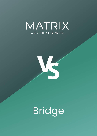



Bridge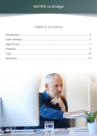### **Table of Contents**

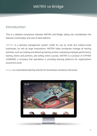### <span id="page-2-0"></span>Introduction

This is a detailed comparison between MATRIX and Bridge, taking into consideration the features, functionality, and cost of each platform.

MATRIX is a learning management system (LMS) for use by small and medium-sized businesses, as well as large corporations. MATRIX helps companies manage all training activities, such as creating and delivering training content, evaluating employee performance, training clients and partners, and selling online courses. MATRIX is a product of CYPHER LEARNING, a company that specializes in providing learning platforms for organizations around the world.

Bridge is a cloud-based learning solution for businesses owned by Instructure.

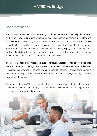### <span id="page-3-0"></span>User interface

The MATRIX interface has a responsive design that looks sharp and automatically adjusts based on the type of device. It provides attractive tile-based dashboards for learners, instructors, and administrators, as well as a graphical course catalog, users, and resources catalog. MATRIX also offers the possibility to easily customize your learning platform to match the company's image, brand, and identity. MATRIX also has a unique "activity display" feature that indicates the level of activity within courses and groups using a pulsing indicator on their tiles together with real-time widgets that scroll through the latest activities.

The Bridge interface is also responsive, but not as visually appealing. The platform is designed to show all elements on a single page. For example, the Learning library, although it is delimited with categories, shows all the courses on a single page. The categories are just some elements that horizontally separate the courses in the different sections of the page and they only show the number of courses.

Compared to this MATRIX has a graphical course catalog organized into categories and subcategories where each category has a tile that displays an image, the description of the category, and the number of courses.

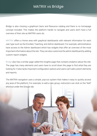Bridge is also missing a graphical Users and Resource catalog and there is no homepage concept included. This makes the platform harder to navigate and users don't have a full overview of their site as MATRIX users do.

MATRIX offers a Home area with graphical dashboards with relevant information for each user type such as the Enrolled, Teaching, and Admin dashboard. For example, administrators have access to the Admin dashboard which has widgets that offer an overview of the most important information about the site. They can also customize the admin dashboard by adding custom report widgets.

Bridge also has a similar page called the Insights page that contains analytics about the site. The page has many elements and users have to scroll down the page to find what they are looking for. It also lacks important configuration options and users can't add custom elements and reports.

The MATRIX navigation uses a simple, pop-out system that makes it easy to quickly access any area of the platform. For example, to add a new group, instructors can click on the "Add" shortcut under the Groups tab.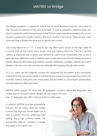The Bridge navigation is apparently simple, but for more advanced features, users have to "dig" through the platform to find what they need. In order to navigate to different areas, you have to constantly switch between apps. In MATRIX, you can instantly see analytics for course progress, assessment results, mastery, and more, directly in the course. There are also more shortcuts than in Bridge that allow you to quickly add content.

The course layout on MATRIX is easy to use and offers quick access to the main areas of a course, such as the course news, groups, chat, and training resources. The main learning content is organized into modules and sections so users know immediately how to find a particular topic within the course. In addition, each module has its own tile that displays the level of activity, shows the description and whether it awards certificates or badges. Learners can switch between a tile and a row view and they can easily see their progress through each module.

In Bridge, users can also organize courses into categories but the system is less structured, meaning that the courses are harder to find and there is no way to organize learning content into modules. Instead, instructors can create slides that are similar to a Powerpoint presentation, and add questions after each slide.

MATRIX offers support for more than 40 languages, including right-to-left languages, and mobile apps for iOS and Android. Bridge only has support for more than 20 languages, and offers iOS and Android mobile apps.

In addition, MATRIX provides accessibility features for all users, such as hidden content that improves screen reader use, a 'skip to content' shortcut, underlined links setting, and a high contrast theme. The accessibility features included in Bridge only apply to the learner role.

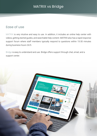### <span id="page-6-0"></span>Ease of use

MATRIX is very intuitive and easy to use. In addition, it includes an online help center with videos, getting started guides, and searchable help content. MATRIX also has a rapid response support forum where staff members typically respond to questions within 15-30 minutes during business hours 24/5.

Bridge is easy to understand and use. Bridge offers support through chat, email, and a support center.

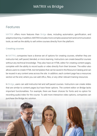### <span id="page-7-0"></span>Features

MATRIX offers more features than Bridge does, including automation, gamification, and adaptive learning. In addition, MATRIX includes more complex assessment and communication tools, as well as the ability to sell online courses directly from the platform.

#### Creating courses

In MATRIX, companies have a diverse set of options for creating courses, whether they are instructor-led, self-paced, blended, or micro learning. Instructors can create beautiful courses without any technical knowledge. They also have an HTML editor for creating content pages, complete with the ability to record audio or video directly from their browser. The editor also allows users to create HTML text templates that can be saved in the Resource Catalog and can be reused in any content area across the site. In addition, each content page has a resources section at the end, where you can add URLs, files, or any other relevant training resources.

In Bridge, users can add instructor-led and self-paced courses. Instructors can create slides that are similar to content pages but have fewer options. The content editor on Bridge lacks important functionalities. For example, there are fewer choices for fonts and no option for recording audio/video for the course. To add more interactive video options, companies can purchase the Bridge Arc solution.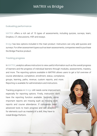#### Evaluating performance

MATRIX offers a rich set of 15 types of assessments, including quizzes, surveys, team, Dropbox, LTI, discussions, H5P, and essays.

Bridge has less options included in the main product. Instructors can only add quizzes and surveys. For other assessment types such as team assessments, companies need to purchase the Bridge Practice product.

#### Tracking progress

In MATRIX, analytics allows instructors to view useful information such as the overall progress of learners and the progress of individual learners through modules, assessments, mastery, and more. The reporting options available in MATRIX allows users to get a full overview of course attendance, completion, enrollment, status, compliance, groups, learning, paths, revenue, custom reports, and more.

9

Reporting is available for administrators and instructors.

Tracking progress in Bridge still needs some improvement, especially for reporting options. Firstly, instructors don't have the reporting function available. Secondly, some important reports are missing such as missing work reports and course attendance. If companies need advanced tools to track progress and see analytics for elements such as mastery of a skill, they have to install Bridge Perform.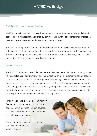#### Collaboration and communication

MATRIX makes it easy for learners and instructors to communicate, encouraging collaboration between users with tools such as chat, built-in messaging with bidirectional email integration, the option to add users as friends, forums, groups, and blogs.

The basic Bridge platform has only a few collaboration tools available such as groups and notifications. For teams, users have to purchase the Perform product and for feedback, or individual and group notifications, they have to add Bridge Practice. Even so, there is no chat, messaging, blogs or the option to add users as friends.

#### Personalization

The MATRIX automation and adaptive learning features make training and learning more flexible. It also helps administrators and instructors save time by automating certain actions, such as course enrollments, or sending automatic messages when a learner is deactivated from a course. Rules can be added in many areas of the platform such as courses, learning paths, groups, accounts, e-commerce, inactivity, compliance, and mastery. It is also easy to dynamically personalize what content and assessments learners see in courses depending on their performance through the adaptive learning feature.

MATRIX also has a complex gamification feature, in which learners gain points and badges as they advance through courses, complete site-wide tasks, and can even compete as part of a team.

Bridge does not have a automation, gamification or adaptive learning feature.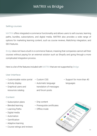#### Selling courses

MATRIX offers integrated e-commerce functionality and allows users to sell courses, learning paths, bundles, subscriptions, and digital media. MATRIX also provides a wide range of options for marketing learning content, such as course reviews, Mailchimp integration, and SEO features.

Bridge does not have a built-in e-commerce feature, meaning that companies cannot sell their courses without paying for an external solution such as Shopify and going through a more complicated integration process.

Here is a list of the features included with MATRIX that are not supported by Bridge:

#### User interface

- Customizable visitor portal Custom CSS
- Activity display
- Graphical users and resources catalog
- 
- Automatic language translation of messages and forum posts
- Support for more than 40 languages

#### Content

- Subscription plans
- Blended learning
- Learning Paths
- Digital media
- Automation
- Gamification
- Adaptive learning
- Course ratings and reviews
- Drip content
- Prerequisite certificates
- Offline mode

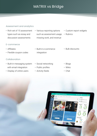#### Assessment and analytics

- Rich set of 15 assessment types such as essay and discussion assessments • Various reporting options such as assessment usage, missing work, and revenue
- Custom report widgets
- Rubrics

#### E-commerce

- Affiliates
- Flexible coupon codes

#### Collaboration

- Built-in messaging system with email integration
- Display of online users
- Built-in e-commerce integration
- Social networking
- Public profiles
- Activity feeds

• Bulk discounts

- Blogs
- Wikis
- Chat

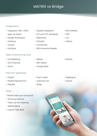#### Integrations

- Integration with 1,500+ apps via Zapier
- Google Workspace
- OneDrive
- Turnitin
- Unicheck

#### Web conferencing tools

- GoToMeeting
- GoToTraining
- Zoom

#### Payment gateways

- PayPal
- PayPal Payment Pro
- PayUbiz

#### **Other**

- Resell under your own brand
- Archiving learners
- Trash can for restoring deleted items
- Learner help desk
- Equella integration
- QTI and CCF standards
- Mailchimp
- Panopto
- CometChat
- MS Immersive Reader
- 
- Webex
- MS Teams
- Google Meet
- PayU Latam
- Authorize.net
- Stripe
- MS OneNote
- H5P
- Go1
- Udemy

• Kaltura

- PagSeguro
- Flywire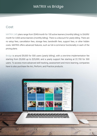### <span id="page-13-0"></span>**Cost**

MATRIX LMS plans range from \$549/month for 100 active learners (monthly billing), to \$4,699/ month for 3,500 active learners (monthly billing). There is a discount for yearly billing. There are no setup fees, cancellation fees, storage fees, bandwidth fees, support fees, or other hidden costs. MATRIX offers advanced features, such as full e-commerce functionality in each of the pricing plans.

Bridge is around \$9,000 for 500 users (yearly billing), with a one-time implementation fee starting from \$5,000 up to \$25,000, and a yearly support fee starting at \$1,700 for 500 users. To access more advanced skill tracking, assessment and micro learning, companies have to also purchase the Arc, Perform, and Practice products.